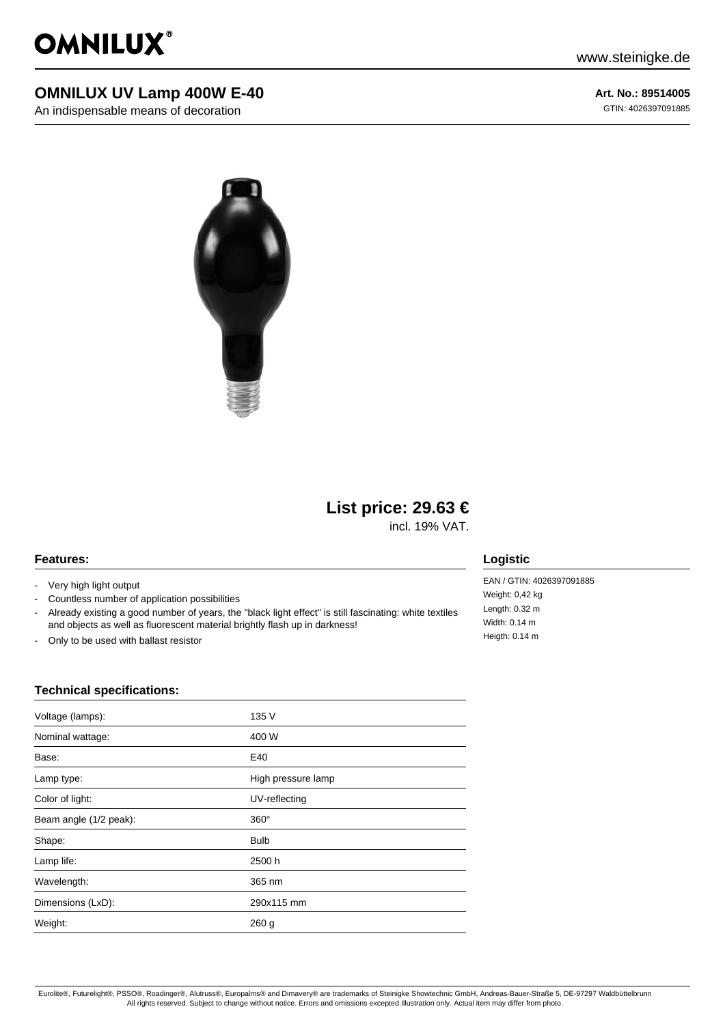

## **OMNILUX UV Lamp 400W E-40**

An indispensable means of decoration

**Art. No.: 89514005** GTIN: 4026397091885



# **List price: 29.63 €**

incl. 19% VAT.

#### **Features:**

- Very high light output
- Countless number of application possibilities
- Already existing a good number of years, the "black light effect" is still fascinating: white textiles and objects as well as fluorescent material brightly flash up in darkness!
- Only to be used with ballast resistor

### **Logistic**

EAN / GTIN: 4026397091885 Weight: 0,42 kg Length: 0.32 m Width: 0.14 m Heigth: 0.14 m

#### **Technical specifications:**

| Voltage (lamps):       | 135 V              |
|------------------------|--------------------|
| Nominal wattage:       | 400 W              |
| Base:                  | E40                |
| Lamp type:             | High pressure lamp |
| Color of light:        | UV-reflecting      |
| Beam angle (1/2 peak): | $360^\circ$        |
| Shape:                 | <b>Bulb</b>        |
| Lamp life:             | 2500 h             |
| Wavelength:            | 365 nm             |
| Dimensions (LxD):      | 290x115 mm         |
| Weight:                | 260 <sub>g</sub>   |